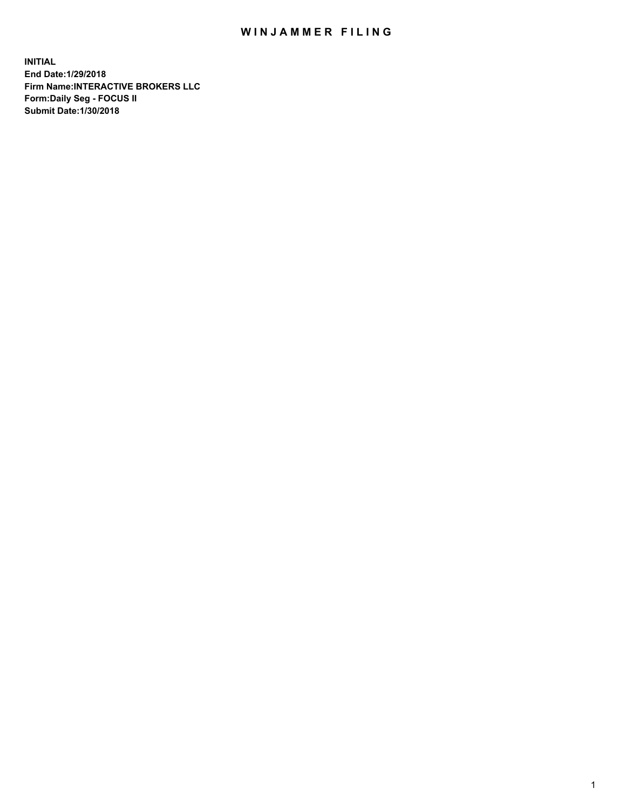## WIN JAMMER FILING

**INITIAL End Date:1/29/2018 Firm Name:INTERACTIVE BROKERS LLC Form:Daily Seg - FOCUS II Submit Date:1/30/2018**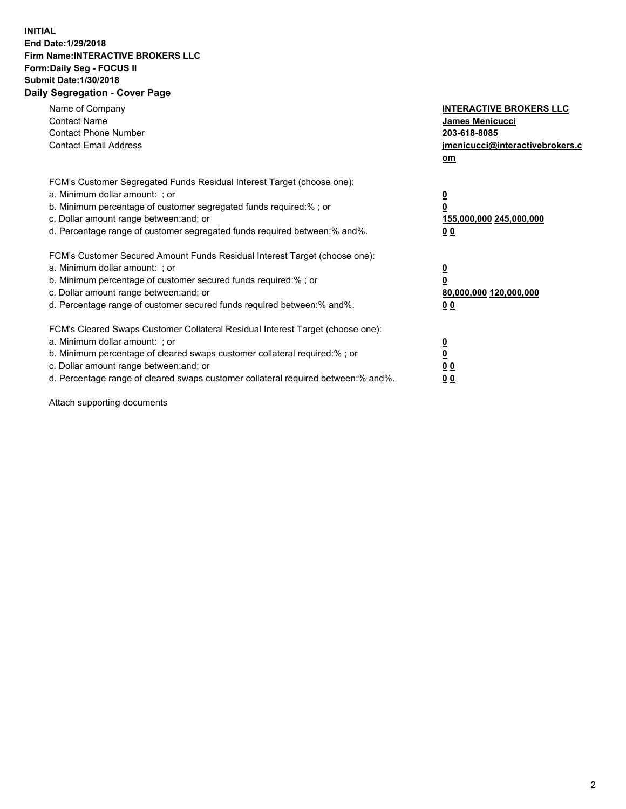## **INITIAL End Date:1/29/2018 Firm Name:INTERACTIVE BROKERS LLC Form:Daily Seg - FOCUS II Submit Date:1/30/2018 Daily Segregation - Cover Page**

| Name of Company<br><b>Contact Name</b><br><b>Contact Phone Number</b><br><b>Contact Email Address</b>                                                                                                                                                                                                                          | <b>INTERACTIVE BROKERS LLC</b><br>James Menicucci<br>203-618-8085<br>jmenicucci@interactivebrokers.c<br>om |
|--------------------------------------------------------------------------------------------------------------------------------------------------------------------------------------------------------------------------------------------------------------------------------------------------------------------------------|------------------------------------------------------------------------------------------------------------|
| FCM's Customer Segregated Funds Residual Interest Target (choose one):<br>a. Minimum dollar amount: ; or<br>b. Minimum percentage of customer segregated funds required:%; or<br>c. Dollar amount range between: and; or<br>d. Percentage range of customer segregated funds required between:% and%.                          | $\overline{\mathbf{0}}$<br>0<br>155,000,000 245,000,000<br>0 <sub>0</sub>                                  |
| FCM's Customer Secured Amount Funds Residual Interest Target (choose one):<br>a. Minimum dollar amount: ; or<br>b. Minimum percentage of customer secured funds required:%; or<br>c. Dollar amount range between: and; or<br>d. Percentage range of customer secured funds required between:% and%.                            | $\overline{\mathbf{0}}$<br>$\overline{\mathbf{0}}$<br>80,000,000 120,000,000<br>00                         |
| FCM's Cleared Swaps Customer Collateral Residual Interest Target (choose one):<br>a. Minimum dollar amount: ; or<br>b. Minimum percentage of cleared swaps customer collateral required:% ; or<br>c. Dollar amount range between: and; or<br>d. Percentage range of cleared swaps customer collateral required between:% and%. | $\overline{\mathbf{0}}$<br>$\overline{\mathbf{0}}$<br>0 <sub>0</sub><br><u>00</u>                          |

Attach supporting documents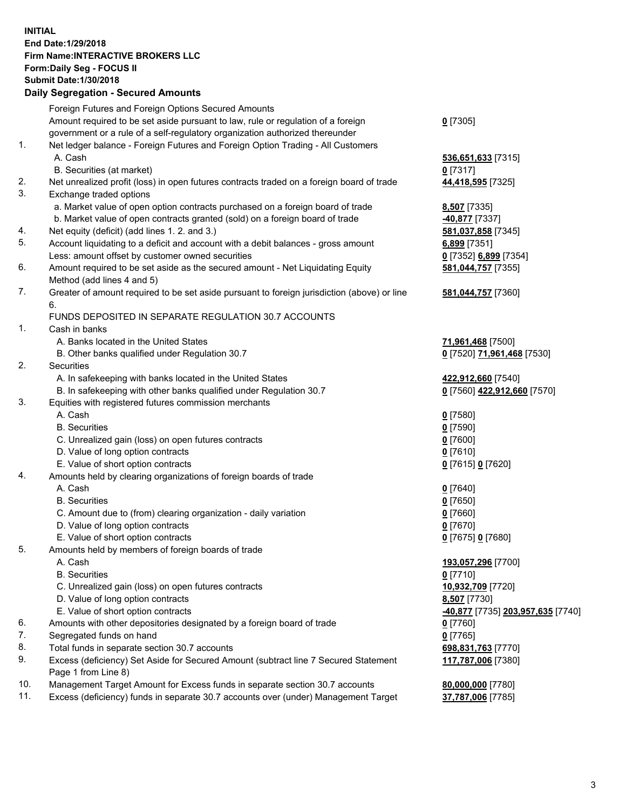## **INITIAL End Date:1/29/2018 Firm Name:INTERACTIVE BROKERS LLC Form:Daily Seg - FOCUS II Submit Date:1/30/2018 Daily Segregation - Secured Amounts**

|                | Daily Ocglegation - Occarea Anioants                                                                       |                                   |
|----------------|------------------------------------------------------------------------------------------------------------|-----------------------------------|
|                | Foreign Futures and Foreign Options Secured Amounts                                                        |                                   |
|                | Amount required to be set aside pursuant to law, rule or regulation of a foreign                           | $0$ [7305]                        |
|                | government or a rule of a self-regulatory organization authorized thereunder                               |                                   |
| 1.             | Net ledger balance - Foreign Futures and Foreign Option Trading - All Customers                            |                                   |
|                | A. Cash                                                                                                    | 536,651,633 [7315]                |
|                | B. Securities (at market)                                                                                  | $0$ [7317]                        |
| 2.             | Net unrealized profit (loss) in open futures contracts traded on a foreign board of trade                  | 44,418,595 [7325]                 |
| 3.             | Exchange traded options                                                                                    |                                   |
|                | a. Market value of open option contracts purchased on a foreign board of trade                             | 8,507 [7335]                      |
|                | b. Market value of open contracts granted (sold) on a foreign board of trade                               | 40,877 [7337]                     |
| 4.             | Net equity (deficit) (add lines 1.2. and 3.)                                                               | 581,037,858 [7345]                |
| 5.             | Account liquidating to a deficit and account with a debit balances - gross amount                          | 6,899 [7351]                      |
|                | Less: amount offset by customer owned securities                                                           | 0 [7352] 6,899 [7354]             |
| 6.             | Amount required to be set aside as the secured amount - Net Liquidating Equity                             | 581,044,757 [7355]                |
|                | Method (add lines 4 and 5)                                                                                 |                                   |
| 7.             | Greater of amount required to be set aside pursuant to foreign jurisdiction (above) or line                | 581,044,757 [7360]                |
|                | 6.                                                                                                         |                                   |
|                | FUNDS DEPOSITED IN SEPARATE REGULATION 30.7 ACCOUNTS                                                       |                                   |
| $\mathbf{1}$ . | Cash in banks                                                                                              |                                   |
|                | A. Banks located in the United States                                                                      | 71,961,468 [7500]                 |
|                | B. Other banks qualified under Regulation 30.7                                                             | 0 [7520] 71,961,468 [7530]        |
| 2.             | Securities                                                                                                 |                                   |
|                | A. In safekeeping with banks located in the United States                                                  | 422,912,660 [7540]                |
|                | B. In safekeeping with other banks qualified under Regulation 30.7                                         | 0 [7560] 422,912,660 [7570]       |
| 3.             | Equities with registered futures commission merchants                                                      |                                   |
|                | A. Cash                                                                                                    | $0$ [7580]                        |
|                | <b>B.</b> Securities                                                                                       | $0$ [7590]                        |
|                | C. Unrealized gain (loss) on open futures contracts                                                        | $0$ [7600]                        |
|                | D. Value of long option contracts                                                                          | $0$ [7610]                        |
|                | E. Value of short option contracts                                                                         | 0 [7615] 0 [7620]                 |
| 4.             | Amounts held by clearing organizations of foreign boards of trade                                          |                                   |
|                | A. Cash                                                                                                    | $0$ [7640]                        |
|                | <b>B.</b> Securities                                                                                       | $0$ [7650]                        |
|                | C. Amount due to (from) clearing organization - daily variation                                            | $0$ [7660]                        |
|                | D. Value of long option contracts                                                                          | $0$ [7670]                        |
|                | E. Value of short option contracts                                                                         | 0 [7675] 0 [7680]                 |
| 5.             | Amounts held by members of foreign boards of trade                                                         |                                   |
|                | A. Cash                                                                                                    | 193,057,296 [7700]                |
|                | <b>B.</b> Securities                                                                                       | $0$ [7710]                        |
|                | C. Unrealized gain (loss) on open futures contracts                                                        | 10,932,709 [7720]                 |
|                | D. Value of long option contracts                                                                          | 8,507 [7730]                      |
|                | E. Value of short option contracts                                                                         | -40,877 [7735] 203,957,635 [7740] |
| 6.             | Amounts with other depositories designated by a foreign board of trade                                     | 0 [7760]                          |
| 7.             | Segregated funds on hand                                                                                   | $0$ [7765]                        |
| 8.             | Total funds in separate section 30.7 accounts                                                              | 698,831,763 [7770]                |
| 9.             | Excess (deficiency) Set Aside for Secured Amount (subtract line 7 Secured Statement<br>Page 1 from Line 8) | 117,787,006 [7380]                |
| 10.            | Management Target Amount for Excess funds in separate section 30.7 accounts                                | 80,000,000 [7780]                 |
| 11.            | Excess (deficiency) funds in separate 30.7 accounts over (under) Management Target                         | 37,787,006 [7785]                 |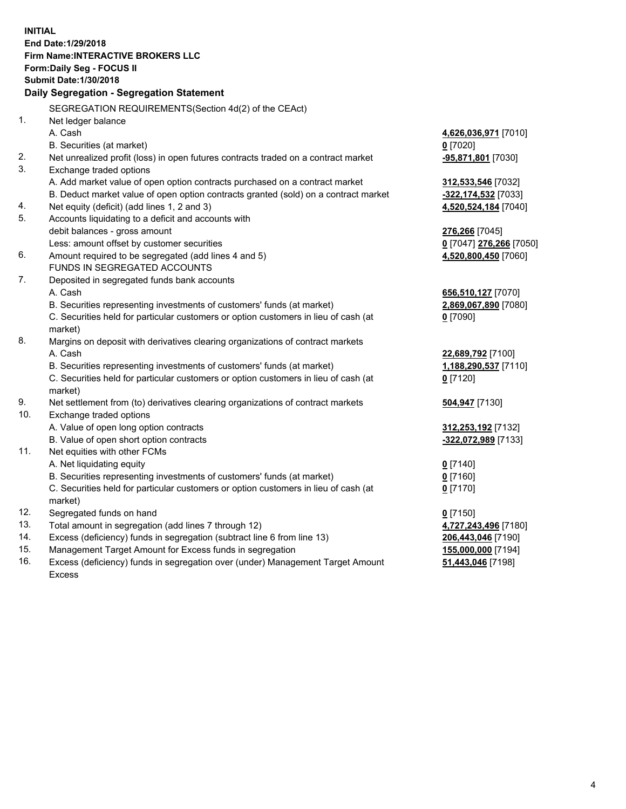**INITIAL End Date:1/29/2018 Firm Name:INTERACTIVE BROKERS LLC Form:Daily Seg - FOCUS II Submit Date:1/30/2018 Daily Segregation - Segregation Statement** SEGREGATION REQUIREMENTS(Section 4d(2) of the CEAct) 1. Net ledger balance A. Cash **4,626,036,971** [7010] B. Securities (at market) **0** [7020] 2. Net unrealized profit (loss) in open futures contracts traded on a contract market **-95,871,801** [7030] 3. Exchange traded options A. Add market value of open option contracts purchased on a contract market **312,533,546** [7032] B. Deduct market value of open option contracts granted (sold) on a contract market **-322,174,532** [7033] 4. Net equity (deficit) (add lines 1, 2 and 3) **4,520,524,184** [7040] 5. Accounts liquidating to a deficit and accounts with debit balances - gross amount **276,266** [7045] Less: amount offset by customer securities **0** [7047] **276,266** [7050] 6. Amount required to be segregated (add lines 4 and 5) **4,520,800,450** [7060] FUNDS IN SEGREGATED ACCOUNTS 7. Deposited in segregated funds bank accounts A. Cash **656,510,127** [7070] B. Securities representing investments of customers' funds (at market) **2,869,067,890** [7080] C. Securities held for particular customers or option customers in lieu of cash (at market) **0** [7090] 8. Margins on deposit with derivatives clearing organizations of contract markets A. Cash **22,689,792** [7100] B. Securities representing investments of customers' funds (at market) **1,188,290,537** [7110] C. Securities held for particular customers or option customers in lieu of cash (at market) **0** [7120] 9. Net settlement from (to) derivatives clearing organizations of contract markets **504,947** [7130] 10. Exchange traded options A. Value of open long option contracts **312,253,192** [7132] B. Value of open short option contracts **-322,072,989** [7133] 11. Net equities with other FCMs A. Net liquidating equity **0** [7140] B. Securities representing investments of customers' funds (at market) **0** [7160] C. Securities held for particular customers or option customers in lieu of cash (at market) **0** [7170] 12. Segregated funds on hand **0** [7150] 13. Total amount in segregation (add lines 7 through 12) **4,727,243,496** [7180] 14. Excess (deficiency) funds in segregation (subtract line 6 from line 13) **206,443,046** [7190] 15. Management Target Amount for Excess funds in segregation **155,000,000** [7194]

16. Excess (deficiency) funds in segregation over (under) Management Target Amount Excess

**51,443,046** [7198]